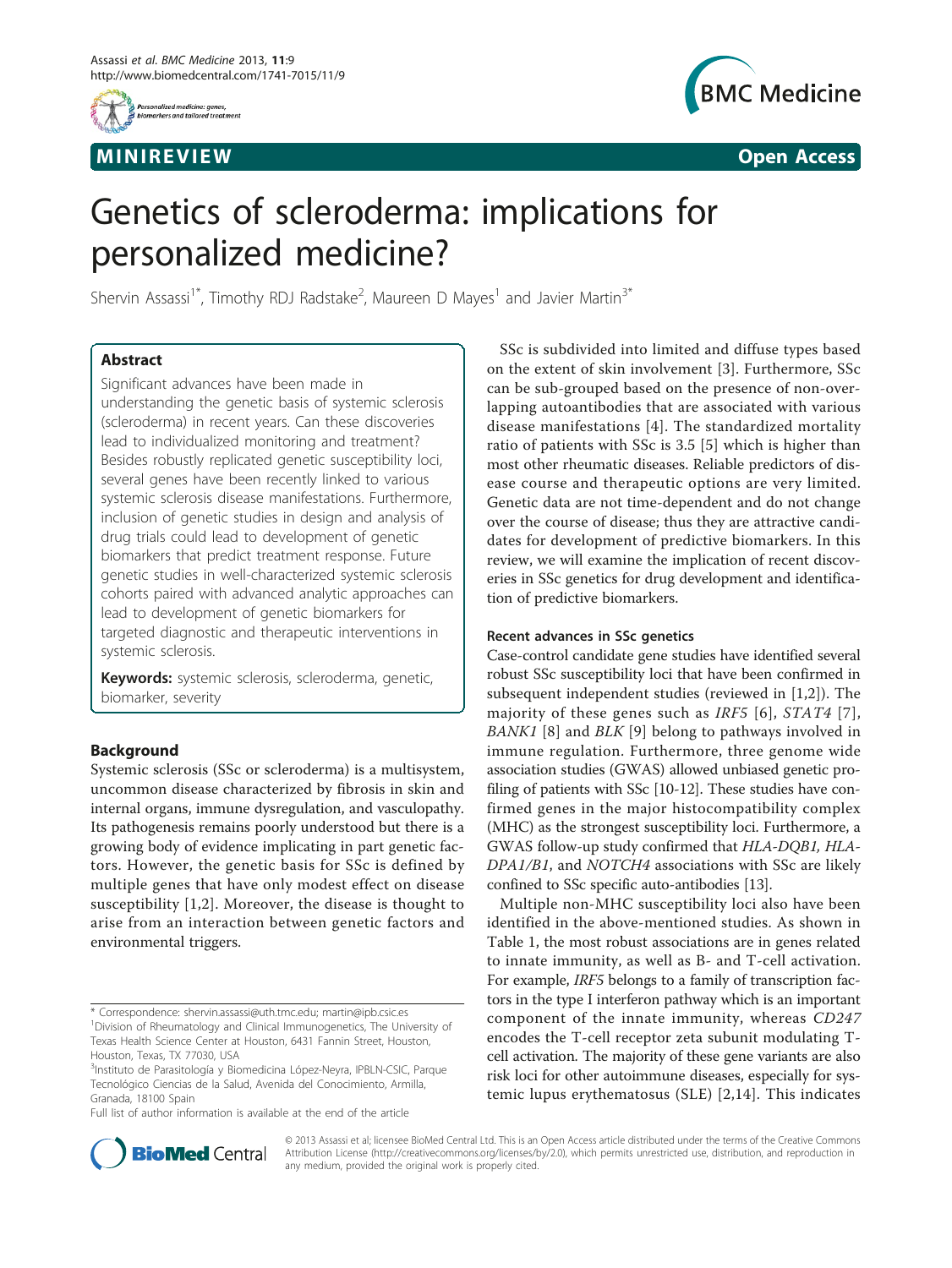

# MINIR EVI EW Open Access



# Genetics of scleroderma: implications for personalized medicine?

Shervin Assassi<sup>1\*</sup>, Timothy RDJ Radstake<sup>2</sup>, Maureen D Mayes<sup>1</sup> and Javier Martin<sup>3\*</sup>

# Abstract

Significant advances have been made in understanding the genetic basis of systemic sclerosis (scleroderma) in recent years. Can these discoveries lead to individualized monitoring and treatment? Besides robustly replicated genetic susceptibility loci, several genes have been recently linked to various systemic sclerosis disease manifestations. Furthermore, inclusion of genetic studies in design and analysis of drug trials could lead to development of genetic biomarkers that predict treatment response. Future genetic studies in well-characterized systemic sclerosis cohorts paired with advanced analytic approaches can lead to development of genetic biomarkers for targeted diagnostic and therapeutic interventions in systemic sclerosis.

Keywords: systemic sclerosis, scleroderma, genetic, biomarker, severity

# Background

Systemic sclerosis (SSc or scleroderma) is a multisystem, uncommon disease characterized by fibrosis in skin and internal organs, immune dysregulation, and vasculopathy. Its pathogenesis remains poorly understood but there is a growing body of evidence implicating in part genetic factors. However, the genetic basis for SSc is defined by multiple genes that have only modest effect on disease susceptibility [[1,2](#page-3-0)]. Moreover, the disease is thought to arise from an interaction between genetic factors and environmental triggers.

Full list of author information is available at the end of the article



SSc is subdivided into limited and diffuse types based on the extent of skin involvement [[3](#page-3-0)]. Furthermore, SSc can be sub-grouped based on the presence of non-overlapping autoantibodies that are associated with various disease manifestations [\[4](#page-3-0)]. The standardized mortality ratio of patients with SSc is 3.5 [[5\]](#page-3-0) which is higher than most other rheumatic diseases. Reliable predictors of disease course and therapeutic options are very limited. Genetic data are not time-dependent and do not change over the course of disease; thus they are attractive candidates for development of predictive biomarkers. In this review, we will examine the implication of recent discoveries in SSc genetics for drug development and identification of predictive biomarkers.

## Recent advances in SSc genetics

Case-control candidate gene studies have identified several robust SSc susceptibility loci that have been confirmed in subsequent independent studies (reviewed in [\[1,2](#page-3-0)]). The majority of these genes such as IRF5 [[6\]](#page-3-0),  $STAT4$  [[7\]](#page-3-0), BANK1 [[8\]](#page-3-0) and BLK [[9\]](#page-3-0) belong to pathways involved in immune regulation. Furthermore, three genome wide association studies (GWAS) allowed unbiased genetic profiling of patients with SSc [\[10-12\]](#page-3-0). These studies have confirmed genes in the major histocompatibility complex (MHC) as the strongest susceptibility loci. Furthermore, a GWAS follow-up study confirmed that HLA-DQB1, HLA-DPA1/B1, and NOTCH4 associations with SSc are likely confined to SSc specific auto-antibodies [[13](#page-3-0)].

Multiple non-MHC susceptibility loci also have been identified in the above-mentioned studies. As shown in Table [1](#page-1-0), the most robust associations are in genes related to innate immunity, as well as B- and T-cell activation. For example, IRF5 belongs to a family of transcription factors in the type I interferon pathway which is an important component of the innate immunity, whereas CD247 encodes the T-cell receptor zeta subunit modulating Tcell activation. The majority of these gene variants are also risk loci for other autoimmune diseases, especially for systemic lupus erythematosus (SLE) [\[2,14](#page-3-0)]. This indicates

© 2013 Assassi et al; licensee BioMed Central Ltd. This is an Open Access article distributed under the terms of the Creative Commons Attribution License [\(http://creativecommons.org/licenses/by/2.0](http://creativecommons.org/licenses/by/2.0)), which permits unrestricted use, distribution, and reproduction in any medium, provided the original work is properly cited.

<sup>\*</sup> Correspondence: [shervin.assassi@uth.tmc.edu;](mailto:shervin.assassi@uth.tmc.edu) [martin@ipb.csic.es](mailto:martin@ipb.csic.es) <sup>1</sup> Division of Rheumatology and Clinical Immunogenetics, The University of Texas Health Science Center at Houston, 6431 Fannin Street, Houston, Houston, Texas, TX 77030, USA

<sup>&</sup>lt;sup>3</sup>Instituto de Parasitología y Biomedicina López-Neyra, IPBLN-CSIC, Parque Tecnológico Ciencias de la Salud, Avenida del Conocimiento, Armilla, Granada, 18100 Spain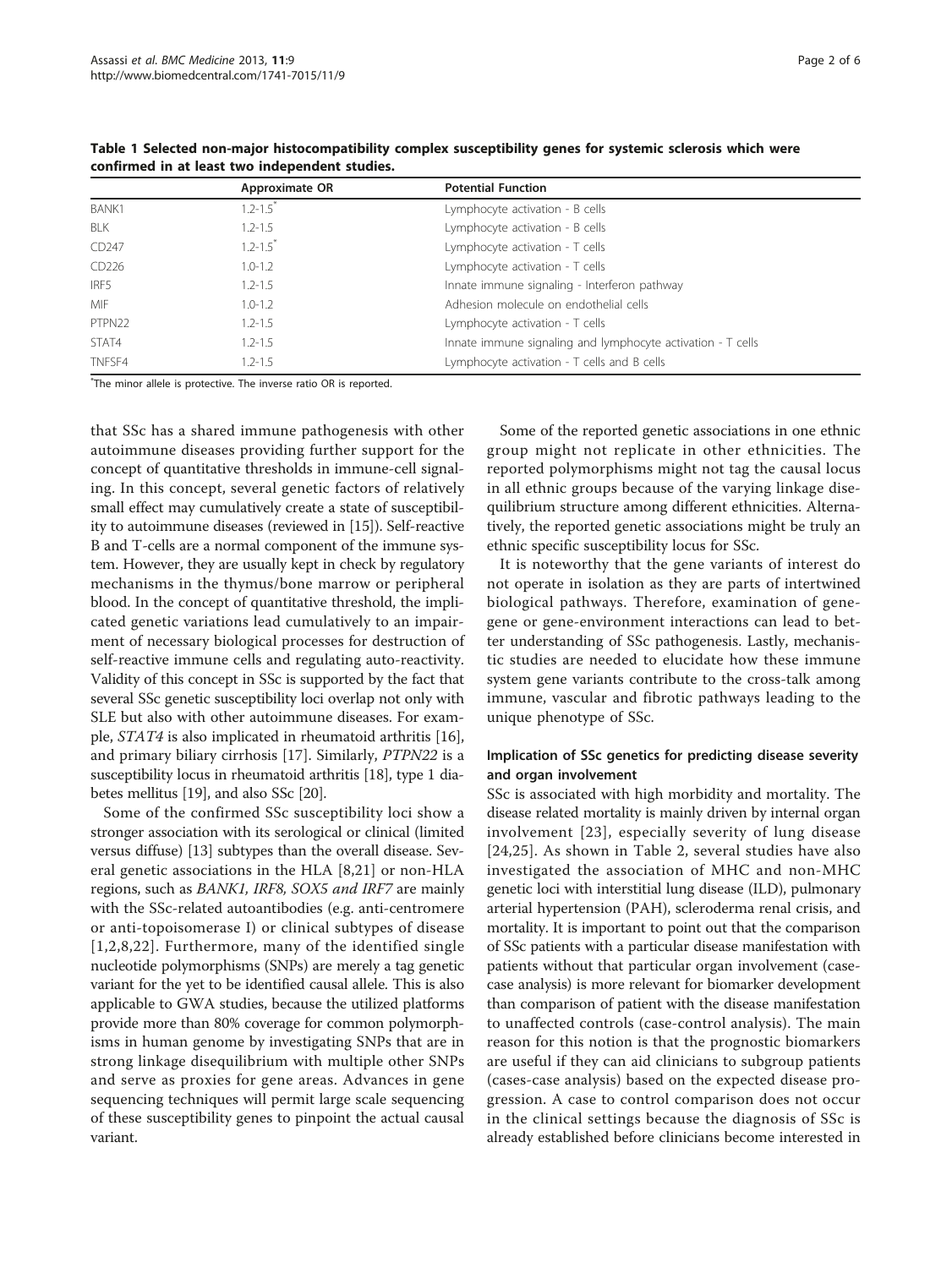|            | Approximate OR           | <b>Potential Function</b>                                   |
|------------|--------------------------|-------------------------------------------------------------|
| BANK1      | $1.2 - 1.5$ <sup>*</sup> | Lymphocyte activation - B cells                             |
| <b>BLK</b> | $1.2 - 1.5$              | Lymphocyte activation - B cells                             |
| CD247      | $1.2 - 1.5$ <sup>*</sup> | Lymphocyte activation - T cells                             |
| CD226      | $1.0 - 1.2$              | Lymphocyte activation - T cells                             |
| IRF5       | $1.2 - 1.5$              | Innate immune signaling - Interferon pathway                |
| <b>MIF</b> | $1.0 - 1.2$              | Adhesion molecule on endothelial cells                      |
| PTPN22     | $1.2 - 1.5$              | Lymphocyte activation - T cells                             |
| STAT4      | $1.2 - 1.5$              | Innate immune signaling and lymphocyte activation - T cells |
| TNFSF4     | $1.2 - 1.5$              | Lymphocyte activation - T cells and B cells                 |

<span id="page-1-0"></span>Table 1 Selected non-major histocompatibility complex susceptibility genes for systemic sclerosis which were confirmed in at least two independent studies.

\* The minor allele is protective. The inverse ratio OR is reported.

that SSc has a shared immune pathogenesis with other autoimmune diseases providing further support for the concept of quantitative thresholds in immune-cell signaling. In this concept, several genetic factors of relatively small effect may cumulatively create a state of susceptibility to autoimmune diseases (reviewed in [[15](#page-3-0)]). Self-reactive B and T-cells are a normal component of the immune system. However, they are usually kept in check by regulatory mechanisms in the thymus/bone marrow or peripheral blood. In the concept of quantitative threshold, the implicated genetic variations lead cumulatively to an impairment of necessary biological processes for destruction of self-reactive immune cells and regulating auto-reactivity. Validity of this concept in SSc is supported by the fact that several SSc genetic susceptibility loci overlap not only with SLE but also with other autoimmune diseases. For example, STAT4 is also implicated in rheumatoid arthritis [[16](#page-3-0)], and primary biliary cirrhosis [[17\]](#page-4-0). Similarly, PTPN22 is a susceptibility locus in rheumatoid arthritis [[18](#page-4-0)], type 1 diabetes mellitus [\[19\]](#page-4-0), and also SSc [[20](#page-4-0)].

Some of the confirmed SSc susceptibility loci show a stronger association with its serological or clinical (limited versus diffuse) [\[13](#page-3-0)] subtypes than the overall disease. Several genetic associations in the HLA [[8,](#page-3-0)[21](#page-4-0)] or non-HLA regions, such as BANK1, IRF8, SOX5 and IRF7 are mainly with the SSc-related autoantibodies (e.g. anti-centromere or anti-topoisomerase I) or clinical subtypes of disease [[1](#page-3-0),[2](#page-3-0),[8,](#page-3-0)[22\]](#page-4-0). Furthermore, many of the identified single nucleotide polymorphisms (SNPs) are merely a tag genetic variant for the yet to be identified causal allele. This is also applicable to GWA studies, because the utilized platforms provide more than 80% coverage for common polymorphisms in human genome by investigating SNPs that are in strong linkage disequilibrium with multiple other SNPs and serve as proxies for gene areas. Advances in gene sequencing techniques will permit large scale sequencing of these susceptibility genes to pinpoint the actual causal variant.

Some of the reported genetic associations in one ethnic group might not replicate in other ethnicities. The reported polymorphisms might not tag the causal locus in all ethnic groups because of the varying linkage disequilibrium structure among different ethnicities. Alternatively, the reported genetic associations might be truly an ethnic specific susceptibility locus for SSc.

It is noteworthy that the gene variants of interest do not operate in isolation as they are parts of intertwined biological pathways. Therefore, examination of genegene or gene-environment interactions can lead to better understanding of SSc pathogenesis. Lastly, mechanistic studies are needed to elucidate how these immune system gene variants contribute to the cross-talk among immune, vascular and fibrotic pathways leading to the unique phenotype of SSc.

## Implication of SSc genetics for predicting disease severity and organ involvement

SSc is associated with high morbidity and mortality. The disease related mortality is mainly driven by internal organ involvement [[23](#page-4-0)], especially severity of lung disease [[24](#page-4-0),[25](#page-4-0)]. As shown in Table [2,](#page-2-0) several studies have also investigated the association of MHC and non-MHC genetic loci with interstitial lung disease (ILD), pulmonary arterial hypertension (PAH), scleroderma renal crisis, and mortality. It is important to point out that the comparison of SSc patients with a particular disease manifestation with patients without that particular organ involvement (casecase analysis) is more relevant for biomarker development than comparison of patient with the disease manifestation to unaffected controls (case-control analysis). The main reason for this notion is that the prognostic biomarkers are useful if they can aid clinicians to subgroup patients (cases-case analysis) based on the expected disease progression. A case to control comparison does not occur in the clinical settings because the diagnosis of SSc is already established before clinicians become interested in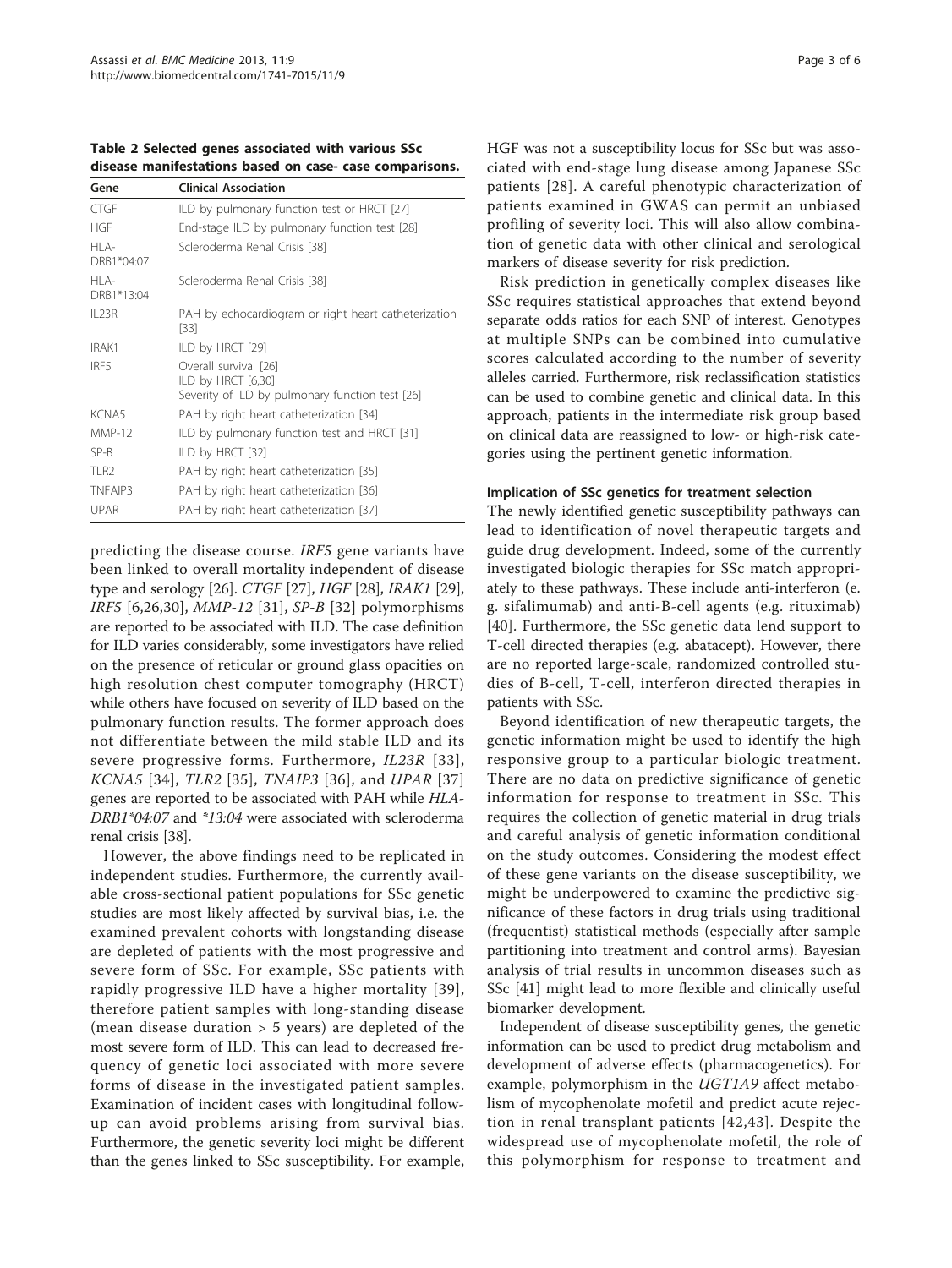<span id="page-2-0"></span>Table 2 Selected genes associated with various SSc disease manifestations based on case- case comparisons.

| Gene                  | <b>Clinical Association</b>                                                                    |
|-----------------------|------------------------------------------------------------------------------------------------|
| <b>CTGF</b>           | ILD by pulmonary function test or HRCT [27]                                                    |
| <b>HGF</b>            | End-stage ILD by pulmonary function test [28]                                                  |
| $HI A-$<br>DRB1*04:07 | Scleroderma Renal Crisis [38]                                                                  |
| HI A-<br>DRB1*13:04   | Scleroderma Renal Crisis [38]                                                                  |
| IL23R                 | PAH by echocardiogram or right heart catheterization<br>[33]                                   |
| IRAK1                 | ILD by HRCT [29]                                                                               |
| IRF5                  | Overall survival [26]<br>ILD by HRCT [6,30]<br>Severity of ILD by pulmonary function test [26] |
| KCNA5                 | PAH by right heart catheterization [34]                                                        |
| MMP-12                | ILD by pulmonary function test and HRCT [31]                                                   |
| $SP-B$                | ILD by HRCT [32]                                                                               |
| TI R <sub>2</sub>     | PAH by right heart catheterization [35]                                                        |
| TNFAIP3               | PAH by right heart catheterization [36]                                                        |
| <b>UPAR</b>           | PAH by right heart catheterization [37]                                                        |

predicting the disease course. IRF5 gene variants have been linked to overall mortality independent of disease type and serology [[26](#page-4-0)]. CTGF [\[27\]](#page-4-0), HGF [\[28\]](#page-4-0), IRAK1 [[29](#page-4-0)], IRF5 [[6,](#page-3-0)[26,30](#page-4-0)], MMP-12 [[31\]](#page-4-0), SP-B [[32\]](#page-4-0) polymorphisms are reported to be associated with ILD. The case definition for ILD varies considerably, some investigators have relied on the presence of reticular or ground glass opacities on high resolution chest computer tomography (HRCT) while others have focused on severity of ILD based on the pulmonary function results. The former approach does not differentiate between the mild stable ILD and its severe progressive forms. Furthermore, IL23R [[33\]](#page-4-0), KCNA5 [[34](#page-4-0)], TLR2 [[35\]](#page-4-0), TNAIP3 [[36](#page-4-0)], and UPAR [[37](#page-4-0)] genes are reported to be associated with PAH while HLA-DRB1\*04:07 and \*13:04 were associated with scleroderma renal crisis [\[38\]](#page-4-0).

However, the above findings need to be replicated in independent studies. Furthermore, the currently available cross-sectional patient populations for SSc genetic studies are most likely affected by survival bias, i.e. the examined prevalent cohorts with longstanding disease are depleted of patients with the most progressive and severe form of SSc. For example, SSc patients with rapidly progressive ILD have a higher mortality [\[39\]](#page-4-0), therefore patient samples with long-standing disease (mean disease duration > 5 years) are depleted of the most severe form of ILD. This can lead to decreased frequency of genetic loci associated with more severe forms of disease in the investigated patient samples. Examination of incident cases with longitudinal followup can avoid problems arising from survival bias. Furthermore, the genetic severity loci might be different than the genes linked to SSc susceptibility. For example, HGF was not a susceptibility locus for SSc but was associated with end-stage lung disease among Japanese SSc patients [\[28](#page-4-0)]. A careful phenotypic characterization of patients examined in GWAS can permit an unbiased profiling of severity loci. This will also allow combination of genetic data with other clinical and serological markers of disease severity for risk prediction.

Risk prediction in genetically complex diseases like SSc requires statistical approaches that extend beyond separate odds ratios for each SNP of interest. Genotypes at multiple SNPs can be combined into cumulative scores calculated according to the number of severity alleles carried. Furthermore, risk reclassification statistics can be used to combine genetic and clinical data. In this approach, patients in the intermediate risk group based on clinical data are reassigned to low- or high-risk categories using the pertinent genetic information.

#### Implication of SSc genetics for treatment selection

The newly identified genetic susceptibility pathways can lead to identification of novel therapeutic targets and guide drug development. Indeed, some of the currently investigated biologic therapies for SSc match appropriately to these pathways. These include anti-interferon (e. g. sifalimumab) and anti-B-cell agents (e.g. rituximab) [[40\]](#page-4-0). Furthermore, the SSc genetic data lend support to T-cell directed therapies (e.g. abatacept). However, there are no reported large-scale, randomized controlled studies of B-cell, T-cell, interferon directed therapies in patients with SSc.

Beyond identification of new therapeutic targets, the genetic information might be used to identify the high responsive group to a particular biologic treatment. There are no data on predictive significance of genetic information for response to treatment in SSc. This requires the collection of genetic material in drug trials and careful analysis of genetic information conditional on the study outcomes. Considering the modest effect of these gene variants on the disease susceptibility, we might be underpowered to examine the predictive significance of these factors in drug trials using traditional (frequentist) statistical methods (especially after sample partitioning into treatment and control arms). Bayesian analysis of trial results in uncommon diseases such as SSc [[41](#page-5-0)] might lead to more flexible and clinically useful biomarker development.

Independent of disease susceptibility genes, the genetic information can be used to predict drug metabolism and development of adverse effects (pharmacogenetics). For example, polymorphism in the UGT1A9 affect metabolism of mycophenolate mofetil and predict acute rejection in renal transplant patients [[42](#page-5-0),[43](#page-5-0)]. Despite the widespread use of mycophenolate mofetil, the role of this polymorphism for response to treatment and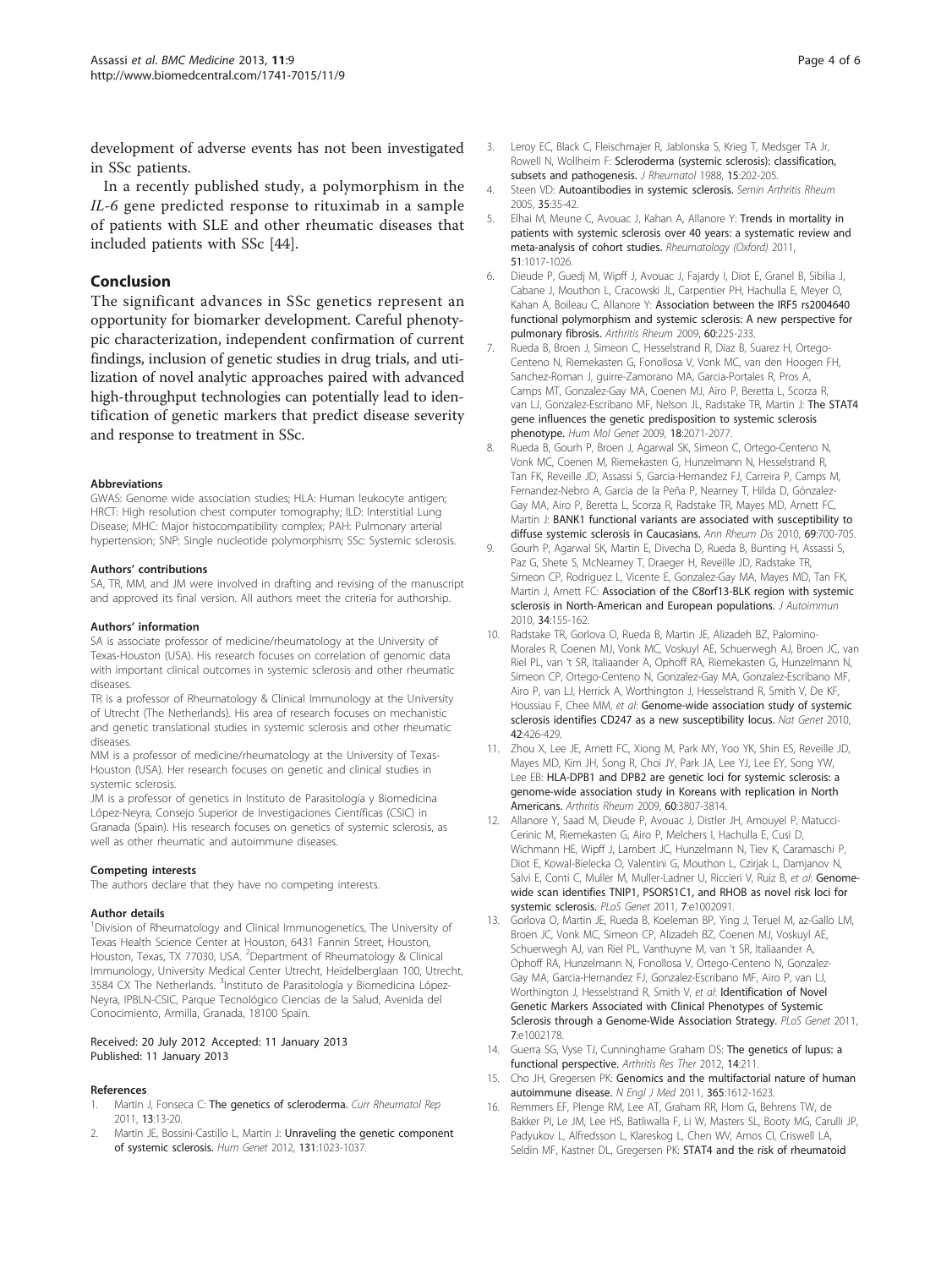<span id="page-3-0"></span>development of adverse events has not been investigated in SSc patients.

In a recently published study, a polymorphism in the IL-6 gene predicted response to rituximab in a sample of patients with SLE and other rheumatic diseases that included patients with SSc [[44\]](#page-5-0).

## Conclusion

The significant advances in SSc genetics represent an opportunity for biomarker development. Careful phenotypic characterization, independent confirmation of current findings, inclusion of genetic studies in drug trials, and utilization of novel analytic approaches paired with advanced high-throughput technologies can potentially lead to identification of genetic markers that predict disease severity and response to treatment in SSc.

#### **Abbreviations**

GWAS: Genome wide association studies; HLA: Human leukocyte antigen; HRCT: High resolution chest computer tomography; ILD: Interstitial Lung Disease; MHC: Major histocompatibility complex; PAH: Pulmonary arterial hypertension; SNP: Single nucleotide polymorphism; SSc: Systemic sclerosis.

#### Authors' contributions

SA, TR, MM, and JM were involved in drafting and revising of the manuscript and approved its final version. All authors meet the criteria for authorship.

#### Authors' information

SA is associate professor of medicine/rheumatology at the University of Texas-Houston (USA). His research focuses on correlation of genomic data with important clinical outcomes in systemic sclerosis and other rheumatic diseases.

TR is a professor of Rheumatology & Clinical Immunology at the University of Utrecht (The Netherlands). His area of research focuses on mechanistic and genetic translational studies in systemic sclerosis and other rheumatic diseases.

MM is a professor of medicine/rheumatology at the University of Texas-Houston (USA). Her research focuses on genetic and clinical studies in systemic sclerosis.

JM is a professor of genetics in Instituto de Parasitología y Biomedicina López-Neyra, Consejo Superior de Investigaciones Científicas (CSIC) in Granada (Spain). His research focuses on genetics of systemic sclerosis, as well as other rheumatic and autoimmune diseases.

#### Competing interests

The authors declare that they have no competing interests.

#### Author details

<sup>1</sup>Division of Rheumatology and Clinical Immunogenetics, The University of Texas Health Science Center at Houston, 6431 Fannin Street, Houston, Houston, Texas, TX 77030, USA. <sup>2</sup>Department of Rheumatology & Clinical Immunology, University Medical Center Utrecht, Heidelberglaan 100, Utrecht, 3584 CX The Netherlands. <sup>3</sup>Instituto de Parasitología y Biomedicina López-Neyra, IPBLN-CSIC, Parque Tecnológico Ciencias de la Salud, Avenida del Conocimiento, Armilla, Granada, 18100 Spain.

#### Received: 20 July 2012 Accepted: 11 January 2013 Published: 11 January 2013

#### References

- Martin J, Fonseca C: [The genetics of scleroderma.](http://www.ncbi.nlm.nih.gov/pubmed/20960081?dopt=Abstract) Curr Rheumatol Rep 2011, 13:13-20.
- Martin JE, Bossini-Castillo L, Martin J: [Unraveling the genetic component](http://www.ncbi.nlm.nih.gov/pubmed/22218928?dopt=Abstract) [of systemic sclerosis.](http://www.ncbi.nlm.nih.gov/pubmed/22218928?dopt=Abstract) Hum Genet 2012, 131:1023-1037.
- 3. Leroy EC, Black C, Fleischmajer R, Jablonska S, Krieg T, Medsger TA Jr, Rowell N, Wollheim F: [Scleroderma \(systemic sclerosis\): classification,](http://www.ncbi.nlm.nih.gov/pubmed/3361530?dopt=Abstract) [subsets and pathogenesis.](http://www.ncbi.nlm.nih.gov/pubmed/3361530?dopt=Abstract) J Rheumatol 1988, 15:202-205.
- 4. Steen VD: [Autoantibodies in systemic sclerosis.](http://www.ncbi.nlm.nih.gov/pubmed/16084222?dopt=Abstract) Semin Arthritis Rheum 2005, 35:35-42.
- 5. Elhai M, Meune C, Avouac J, Kahan A, Allanore Y: Trends in mortality in patients with systemic sclerosis over 40 years: a systematic review and meta-analysis of cohort studies. Rheumatology (Oxford) 2011, 51:1017-1026.
- 6. Dieude P, Guedj M, Wipff J, Avouac J, Fajardy I, Diot E, Granel B, Sibilia J, Cabane J, Mouthon L, Cracowski JL, Carpentier PH, Hachulla E, Meyer O, Kahan A, Boileau C, Allanore Y: [Association between the IRF5 rs2004640](http://www.ncbi.nlm.nih.gov/pubmed/19116937?dopt=Abstract) [functional polymorphism and systemic sclerosis: A new perspective for](http://www.ncbi.nlm.nih.gov/pubmed/19116937?dopt=Abstract) [pulmonary fibrosis.](http://www.ncbi.nlm.nih.gov/pubmed/19116937?dopt=Abstract) Arthritis Rheum 2009, 60:225-233.
- 7. Rueda B, Broen J, Simeon C, Hesselstrand R, Diaz B, Suarez H, Ortego-Centeno N, Riemekasten G, Fonollosa V, Vonk MC, van den Hoogen FH, Sanchez-Roman J, guirre-Zamorano MA, Garcia-Portales R, Pros A, Camps MT, Gonzalez-Gay MA, Coenen MJ, Airo P, Beretta L, Scorza R, van LJ, Gonzalez-Escribano MF, Nelson JL, Radstake TR, Martin J: [The STAT4](http://www.ncbi.nlm.nih.gov/pubmed/19286670?dopt=Abstract) [gene influences the genetic predisposition to systemic sclerosis](http://www.ncbi.nlm.nih.gov/pubmed/19286670?dopt=Abstract) [phenotype.](http://www.ncbi.nlm.nih.gov/pubmed/19286670?dopt=Abstract) Hum Mol Genet 2009, 18:2071-2077.
- 8. Rueda B, Gourh P, Broen J, Agarwal SK, Simeon C, Ortego-Centeno N, Vonk MC, Coenen M, Riemekasten G, Hunzelmann N, Hesselstrand R, Tan FK, Reveille JD, Assassi S, Garcia-Hernandez FJ, Carreira P, Camps M, Fernandez-Nebro A, Garcia de la Peña P, Nearney T, Hilda D, Gónzalez-Gay MA, Airo P, Beretta L, Scorza R, Radstake TR, Mayes MD, Arnett FC, Martin J: [BANK1 functional variants are associated with susceptibility to](http://www.ncbi.nlm.nih.gov/pubmed/19815934?dopt=Abstract) [diffuse systemic sclerosis in Caucasians.](http://www.ncbi.nlm.nih.gov/pubmed/19815934?dopt=Abstract) Ann Rheum Dis 2010, 69:700-705.
- 9. Gourh P, Agarwal SK, Martin E, Divecha D, Rueda B, Bunting H, Assassi S, Paz G, Shete S, McNearney T, Draeger H, Reveille JD, Radstake TR, Simeon CP, Rodriguez L, Vicente E, Gonzalez-Gay MA, Mayes MD, Tan FK, Martin J, Arnett FC: [Association of the C8orf13-BLK region with systemic](http://www.ncbi.nlm.nih.gov/pubmed/19796918?dopt=Abstract) [sclerosis in North-American and European populations.](http://www.ncbi.nlm.nih.gov/pubmed/19796918?dopt=Abstract) J Autoimmun 2010, 34:155-162.
- 10. Radstake TR, Gorlova O, Rueda B, Martin JE, Alizadeh BZ, Palomino-Morales R, Coenen MJ, Vonk MC, Voskuyl AE, Schuerwegh AJ, Broen JC, van Riel PL, van 't SR, Italiaander A, Ophoff RA, Riemekasten G, Hunzelmann N, Simeon CP, Ortego-Centeno N, Gonzalez-Gay MA, Gonzalez-Escribano MF, Airo P, van LJ, Herrick A, Worthington J, Hesselstrand R, Smith V, De KF, Houssiau F, Chee MM, et al: [Genome-wide association study of systemic](http://www.ncbi.nlm.nih.gov/pubmed/20383147?dopt=Abstract) [sclerosis identifies CD247 as a new susceptibility locus.](http://www.ncbi.nlm.nih.gov/pubmed/20383147?dopt=Abstract) Nat Genet 2010, 42:426-429.
- 11. Zhou X, Lee JE, Arnett FC, Xiong M, Park MY, Yoo YK, Shin ES, Reveille JD, Mayes MD, Kim JH, Song R, Choi JY, Park JA, Lee YJ, Lee EY, Song YW, Lee EB: [HLA-DPB1 and DPB2 are genetic loci for systemic sclerosis: a](http://www.ncbi.nlm.nih.gov/pubmed/19950302?dopt=Abstract) [genome-wide association study in Koreans with replication in North](http://www.ncbi.nlm.nih.gov/pubmed/19950302?dopt=Abstract) [Americans.](http://www.ncbi.nlm.nih.gov/pubmed/19950302?dopt=Abstract) Arthritis Rheum 2009, 60:3807-3814.
- 12. Allanore Y, Saad M, Dieude P, Avouac J, Distler JH, Amouyel P, Matucci-Cerinic M, Riemekasten G, Airo P, Melchers I, Hachulla E, Cusi D, Wichmann HE, Wipff J, Lambert JC, Hunzelmann N, Tiev K, Caramaschi P, Diot E, Kowal-Bielecka O, Valentini G, Mouthon L, Czirjak L, Damjanov N, Salvi E, Conti C, Muller M, Muller-Ladner U, Riccieri V, Ruiz B, et al: [Genome](http://www.ncbi.nlm.nih.gov/pubmed/21750679?dopt=Abstract)wide scan [identifies TNIP1, PSORS1C1, and RHOB as novel risk loci for](http://www.ncbi.nlm.nih.gov/pubmed/21750679?dopt=Abstract) [systemic sclerosis.](http://www.ncbi.nlm.nih.gov/pubmed/21750679?dopt=Abstract) PLoS Genet 2011, 7:e1002091.
- 13. Gorlova O, Martin JE, Rueda B, Koeleman BP, Ying J, Teruel M, az-Gallo LM, Broen JC, Vonk MC, Simeon CP, Alizadeh BZ, Coenen MJ, Voskuyl AE, Schuerwegh AJ, van Riel PL, Vanthuyne M, van 't SR, Italiaander A, Ophoff RA, Hunzelmann N, Fonollosa V, Ortego-Centeno N, Gonzalez-Gay MA, Garcia-Hernandez FJ, Gonzalez-Escribano MF, Airo P, van LJ, Worthington J, Hesselstrand R, Smith V, et al: [Identification of Novel](http://www.ncbi.nlm.nih.gov/pubmed/21779181?dopt=Abstract) [Genetic Markers Associated with Clinical Phenotypes of Systemic](http://www.ncbi.nlm.nih.gov/pubmed/21779181?dopt=Abstract) [Sclerosis through a Genome-Wide Association Strategy.](http://www.ncbi.nlm.nih.gov/pubmed/21779181?dopt=Abstract) PLoS Genet 2011, 7:e1002178.
- 14. Guerra SG, Vyse TJ, Cunninghame Graham DS: [The genetics of lupus: a](http://www.ncbi.nlm.nih.gov/pubmed/22640752?dopt=Abstract) [functional perspective.](http://www.ncbi.nlm.nih.gov/pubmed/22640752?dopt=Abstract) Arthritis Res Ther 2012, 14:211
- 15. Cho JH, Gregersen PK: [Genomics and the multifactorial nature of human](http://www.ncbi.nlm.nih.gov/pubmed/22029983?dopt=Abstract) [autoimmune disease.](http://www.ncbi.nlm.nih.gov/pubmed/22029983?dopt=Abstract) N Engl J Med 2011, 365:1612-1623.
- 16. Remmers EF, Plenge RM, Lee AT, Graham RR, Hom G, Behrens TW, de Bakker PI, Le JM, Lee HS, Batliwalla F, Li W, Masters SL, Booty MG, Carulli JP, Padyukov L, Alfredsson L, Klareskog L, Chen WV, Amos CI, Criswell LA, Seldin MF, Kastner DL, Gregersen PK: [STAT4 and the risk of rheumatoid](http://www.ncbi.nlm.nih.gov/pubmed/17804842?dopt=Abstract)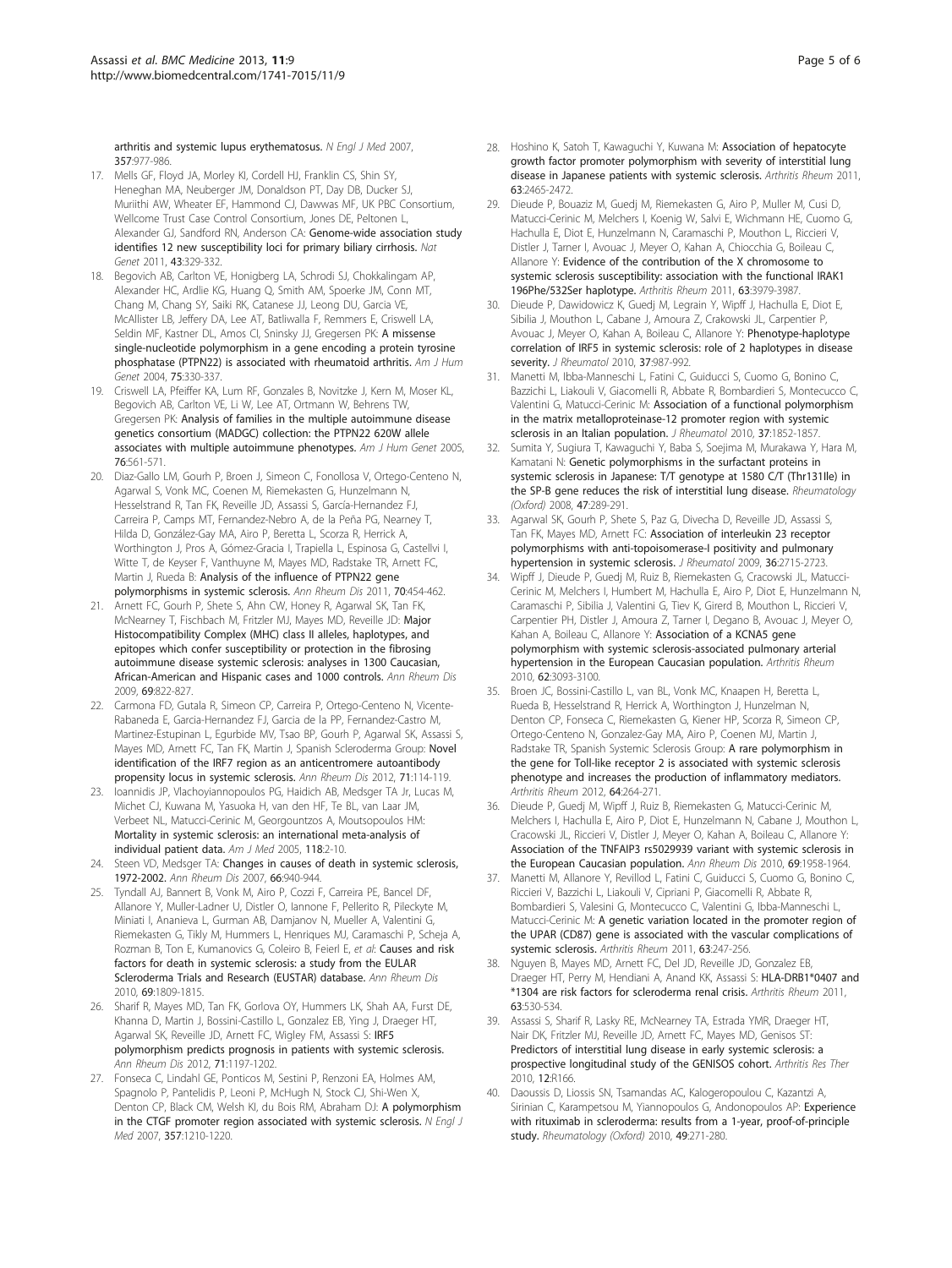<span id="page-4-0"></span>[arthritis and systemic lupus erythematosus.](http://www.ncbi.nlm.nih.gov/pubmed/17804842?dopt=Abstract) N Engl J Med 2007, 357:977-986.

- 17. Mells GF, Floyd JA, Morley KI, Cordell HJ, Franklin CS, Shin SY, Heneghan MA, Neuberger JM, Donaldson PT, Day DB, Ducker SJ, Muriithi AW, Wheater EF, Hammond CJ, Dawwas MF, UK PBC Consortium, Wellcome Trust Case Control Consortium, Jones DE, Peltonen L, Alexander GJ, Sandford RN, Anderson CA: [Genome-wide association study](http://www.ncbi.nlm.nih.gov/pubmed/21399635?dopt=Abstract) [identifies 12 new susceptibility loci for primary biliary cirrhosis.](http://www.ncbi.nlm.nih.gov/pubmed/21399635?dopt=Abstract) Nat Genet 2011, 43:329-332.
- 18. Begovich AB, Carlton VE, Honigberg LA, Schrodi SJ, Chokkalingam AP, Alexander HC, Ardlie KG, Huang Q, Smith AM, Spoerke JM, Conn MT, Chang M, Chang SY, Saiki RK, Catanese JJ, Leong DU, Garcia VE, McAllister LB, Jeffery DA, Lee AT, Batliwalla F, Remmers E, Criswell LA, Seldin MF, Kastner DL, Amos CI, Sninsky JJ, Gregersen PK: [A missense](http://www.ncbi.nlm.nih.gov/pubmed/15208781?dopt=Abstract) [single-nucleotide polymorphism in a gene encoding a protein tyrosine](http://www.ncbi.nlm.nih.gov/pubmed/15208781?dopt=Abstract) [phosphatase \(PTPN22\) is associated with rheumatoid arthritis.](http://www.ncbi.nlm.nih.gov/pubmed/15208781?dopt=Abstract) Am J Hum Genet 2004, 75:330-337.
- 19. Criswell LA, Pfeiffer KA, Lum RF, Gonzales B, Novitzke J, Kern M, Moser KL, Begovich AB, Carlton VE, Li W, Lee AT, Ortmann W, Behrens TW, Gregersen PK: [Analysis of families in the multiple autoimmune disease](http://www.ncbi.nlm.nih.gov/pubmed/15719322?dopt=Abstract) [genetics consortium \(MADGC\) collection: the PTPN22 620W allele](http://www.ncbi.nlm.nih.gov/pubmed/15719322?dopt=Abstract) [associates with multiple autoimmune phenotypes.](http://www.ncbi.nlm.nih.gov/pubmed/15719322?dopt=Abstract) Am J Hum Genet 2005, 76:561-571.
- 20. Diaz-Gallo LM, Gourh P, Broen J, Simeon C, Fonollosa V, Ortego-Centeno N, Agarwal S, Vonk MC, Coenen M, Riemekasten G, Hunzelmann N, Hesselstrand R, Tan FK, Reveille JD, Assassi S, García-Hernandez FJ, Carreira P, Camps MT, Fernandez-Nebro A, de la Peña PG, Nearney T, Hilda D, González-Gay MA, Airo P, Beretta L, Scorza R, Herrick A, Worthington J, Pros A, Gómez-Gracia I, Trapiella L, Espinosa G, Castellvi I, Witte T, de Keyser F, Vanthuyne M, Mayes MD, Radstake TR, Arnett FC, Martin J, Rueda B: [Analysis of the influence of PTPN22 gene](http://www.ncbi.nlm.nih.gov/pubmed/21131644?dopt=Abstract) [polymorphisms in systemic sclerosis.](http://www.ncbi.nlm.nih.gov/pubmed/21131644?dopt=Abstract) Ann Rheum Dis 2011, 70:454-462.
- 21. Arnett FC, Gourh P, Shete S, Ahn CW, Honey R, Agarwal SK, Tan FK, McNearney T, Fischbach M, Fritzler MJ, Mayes MD, Reveille JD: [Major](http://www.ncbi.nlm.nih.gov/pubmed/19596691?dopt=Abstract) [Histocompatibility Complex \(MHC\) class II alleles, haplotypes, and](http://www.ncbi.nlm.nih.gov/pubmed/19596691?dopt=Abstract) [epitopes which confer susceptibility or protection in the fibrosing](http://www.ncbi.nlm.nih.gov/pubmed/19596691?dopt=Abstract) [autoimmune disease systemic sclerosis: analyses in 1300 Caucasian,](http://www.ncbi.nlm.nih.gov/pubmed/19596691?dopt=Abstract) [African-American and Hispanic cases and 1000 controls.](http://www.ncbi.nlm.nih.gov/pubmed/19596691?dopt=Abstract) Ann Rheum Dis 2009, 69:822-827.
- 22. Carmona FD, Gutala R, Simeon CP, Carreira P, Ortego-Centeno N, Vicente-Rabaneda E, Garcia-Hernandez FJ, Garcia de la PP, Fernandez-Castro M, Martinez-Estupinan L, Egurbide MV, Tsao BP, Gourh P, Agarwal SK, Assassi S, Mayes MD, Arnett FC, Tan FK, Martin J, Spanish Scleroderma Group: [Novel](http://www.ncbi.nlm.nih.gov/pubmed/21926187?dopt=Abstract) [identification of the IRF7 region as an anticentromere autoantibody](http://www.ncbi.nlm.nih.gov/pubmed/21926187?dopt=Abstract) [propensity locus in systemic sclerosis.](http://www.ncbi.nlm.nih.gov/pubmed/21926187?dopt=Abstract) Ann Rheum Dis 2012, 71:114-119.
- 23. Ioannidis JP, Vlachoyiannopoulos PG, Haidich AB, Medsger TA Jr, Lucas M, Michet CJ, Kuwana M, Yasuoka H, van den HF, Te BL, van Laar JM, Verbeet NL, Matucci-Cerinic M, Georgountzos A, Moutsopoulos HM: [Mortality in systemic sclerosis: an international meta-analysis of](http://www.ncbi.nlm.nih.gov/pubmed/15639201?dopt=Abstract) [individual patient data.](http://www.ncbi.nlm.nih.gov/pubmed/15639201?dopt=Abstract) Am J Med 2005, 118:2-10.
- 24. Steen VD, Medsger TA: [Changes in causes of death in systemic sclerosis,](http://www.ncbi.nlm.nih.gov/pubmed/17329309?dopt=Abstract) [1972-2002.](http://www.ncbi.nlm.nih.gov/pubmed/17329309?dopt=Abstract) Ann Rheum Dis 2007, 66:940-944.
- 25. Tyndall AJ, Bannert B, Vonk M, Airo P, Cozzi F, Carreira PE, Bancel DF, Allanore Y, Muller-Ladner U, Distler O, Jannone F, Pellerito R, Pileckyte M, Miniati I, Ananieva L, Gurman AB, Damjanov N, Mueller A, Valentini G, Riemekasten G, Tikly M, Hummers L, Henriques MJ, Caramaschi P, Scheja A, Rozman B, Ton E, Kumanovics G, Coleiro B, Feierl E, et al: [Causes and risk](http://www.ncbi.nlm.nih.gov/pubmed/20551155?dopt=Abstract) [factors for death in systemic sclerosis: a study from the EULAR](http://www.ncbi.nlm.nih.gov/pubmed/20551155?dopt=Abstract) [Scleroderma Trials and Research \(EUSTAR\) database.](http://www.ncbi.nlm.nih.gov/pubmed/20551155?dopt=Abstract) Ann Rheum Dis 2010, 69:1809-1815.
- 26. Sharif R, Mayes MD, Tan FK, Gorlova OY, Hummers LK, Shah AA, Furst DE, Khanna D, Martin J, Bossini-Castillo L, Gonzalez EB, Ying J, Draeger HT, Agarwal SK, Reveille JD, Arnett FC, Wigley FM, Assassi S: [IRF5](http://www.ncbi.nlm.nih.gov/pubmed/22440820?dopt=Abstract) [polymorphism predicts prognosis in patients with systemic sclerosis.](http://www.ncbi.nlm.nih.gov/pubmed/22440820?dopt=Abstract) Ann Rheum Dis 2012, 71:1197-1202.
- 27. Fonseca C, Lindahl GE, Ponticos M, Sestini P, Renzoni EA, Holmes AM, Spagnolo P, Pantelidis P, Leoni P, McHugh N, Stock CJ, Shi-Wen X, Denton CP, Black CM, Welsh KI, du Bois RM, Abraham DJ: [A polymorphism](http://www.ncbi.nlm.nih.gov/pubmed/17881752?dopt=Abstract) [in the CTGF promoter region associated with systemic sclerosis.](http://www.ncbi.nlm.nih.gov/pubmed/17881752?dopt=Abstract) N Engl J Med 2007, 357:1210-1220.
- 28. Hoshino K, Satoh T, Kawaguchi Y, Kuwana M: [Association of hepatocyte](http://www.ncbi.nlm.nih.gov/pubmed/21520010?dopt=Abstract) [growth factor promoter polymorphism with severity of interstitial lung](http://www.ncbi.nlm.nih.gov/pubmed/21520010?dopt=Abstract) [disease in Japanese patients with systemic sclerosis.](http://www.ncbi.nlm.nih.gov/pubmed/21520010?dopt=Abstract) Arthritis Rheum 2011, 63:2465-2472.
- 29. Dieude P, Bouaziz M, Guedj M, Riemekasten G, Airo P, Muller M, Cusi D, Matucci-Cerinic M, Melchers I, Koenig W, Salvi E, Wichmann HE, Cuomo G, Hachulla E, Diot E, Hunzelmann N, Caramaschi P, Mouthon L, Riccieri V, Distler J, Tarner I, Avouac J, Meyer O, Kahan A, Chiocchia G, Boileau C, Allanore Y: [Evidence of the contribution of the X chromosome to](http://www.ncbi.nlm.nih.gov/pubmed/21898345?dopt=Abstract) [systemic sclerosis susceptibility: association with the functional IRAK1](http://www.ncbi.nlm.nih.gov/pubmed/21898345?dopt=Abstract) [196Phe/532Ser haplotype.](http://www.ncbi.nlm.nih.gov/pubmed/21898345?dopt=Abstract) Arthritis Rheum 2011, 63:3979-3987.
- 30. Dieude P, Dawidowicz K, Guedj M, Legrain Y, Wipff J, Hachulla E, Diot E, Sibilia J, Mouthon L, Cabane J, Amoura Z, Crakowski JL, Carpentier P, Avouac J, Meyer O, Kahan A, Boileau C, Allanore Y: [Phenotype-haplotype](http://www.ncbi.nlm.nih.gov/pubmed/20231204?dopt=Abstract) [correlation of IRF5 in systemic sclerosis: role of 2 haplotypes in disease](http://www.ncbi.nlm.nih.gov/pubmed/20231204?dopt=Abstract) [severity.](http://www.ncbi.nlm.nih.gov/pubmed/20231204?dopt=Abstract) J Rheumatol 2010, 37:987-992.
- 31. Manetti M, Ibba-Manneschi L, Fatini C, Guiducci S, Cuomo G, Bonino C, Bazzichi L, Liakouli V, Giacomelli R, Abbate R, Bombardieri S, Montecucco C, Valentini G, Matucci-Cerinic M: [Association of a functional polymorphism](http://www.ncbi.nlm.nih.gov/pubmed/20595276?dopt=Abstract) [in the matrix metalloproteinase-12 promoter region with systemic](http://www.ncbi.nlm.nih.gov/pubmed/20595276?dopt=Abstract) [sclerosis in an Italian population.](http://www.ncbi.nlm.nih.gov/pubmed/20595276?dopt=Abstract) J Rheumatol 2010, 37:1852-1857.
- 32. Sumita Y, Sugiura T, Kawaguchi Y, Baba S, Soejima M, Murakawa Y, Hara M, Kamatani N: Genetic polymorphisms in the surfactant proteins in systemic sclerosis in Japanese: T/T genotype at 1580 C/T (Thr131Ile) in the SP-B gene reduces the risk of interstitial lung disease. Rheumatology (Oxford) 2008, 47:289-291.
- 33. Agarwal SK, Gourh P, Shete S, Paz G, Divecha D, Reveille JD, Assassi S, Tan FK, Mayes MD, Arnett FC: [Association of interleukin 23 receptor](http://www.ncbi.nlm.nih.gov/pubmed/19918037?dopt=Abstract) [polymorphisms with anti-topoisomerase-I positivity and pulmonary](http://www.ncbi.nlm.nih.gov/pubmed/19918037?dopt=Abstract) [hypertension in systemic sclerosis.](http://www.ncbi.nlm.nih.gov/pubmed/19918037?dopt=Abstract) J Rheumatol 2009, 36:2715-2723.
- 34. Wipff J, Dieude P, Guedj M, Ruiz B, Riemekasten G, Cracowski JL, Matucci-Cerinic M, Melchers I, Humbert M, Hachulla E, Airo P, Diot E, Hunzelmann N, Caramaschi P, Sibilia J, Valentini G, Tiev K, Girerd B, Mouthon L, Riccieri V, Carpentier PH, Distler J, Amoura Z, Tarner I, Degano B, Avouac J, Meyer O, Kahan A, Boileau C, Allanore Y: [Association of a KCNA5 gene](http://www.ncbi.nlm.nih.gov/pubmed/20556823?dopt=Abstract) [polymorphism with systemic sclerosis-associated pulmonary arterial](http://www.ncbi.nlm.nih.gov/pubmed/20556823?dopt=Abstract) [hypertension in the European Caucasian population.](http://www.ncbi.nlm.nih.gov/pubmed/20556823?dopt=Abstract) Arthritis Rheum 2010, 62:3093-3100.
- 35. Broen JC, Bossini-Castillo L, van BL, Vonk MC, Knaapen H, Beretta L, Rueda B, Hesselstrand R, Herrick A, Worthington J, Hunzelman N, Denton CP, Fonseca C, Riemekasten G, Kiener HP, Scorza R, Simeon CP, Ortego-Centeno N, Gonzalez-Gay MA, Airo P, Coenen MJ, Martin J, Radstake TR, Spanish Systemic Sclerosis Group: [A rare polymorphism in](http://www.ncbi.nlm.nih.gov/pubmed/21905008?dopt=Abstract) [the gene for Toll-like receptor 2 is associated with systemic sclerosis](http://www.ncbi.nlm.nih.gov/pubmed/21905008?dopt=Abstract) [phenotype and increases the production of inflammatory mediators.](http://www.ncbi.nlm.nih.gov/pubmed/21905008?dopt=Abstract) Arthritis Rheum 2012, 64:264-271.
- 36. Dieude P, Guedj M, Wipff J, Ruiz B, Riemekasten G, Matucci-Cerinic M, Melchers I, Hachulla E, Airo P, Diot E, Hunzelmann N, Cabane J, Mouthon L, Cracowski JL, Riccieri V, Distler J, Meyer O, Kahan A, Boileau C, Allanore Y: [Association of the TNFAIP3 rs5029939 variant with systemic sclerosis in](http://www.ncbi.nlm.nih.gov/pubmed/20511617?dopt=Abstract) [the European Caucasian population.](http://www.ncbi.nlm.nih.gov/pubmed/20511617?dopt=Abstract) Ann Rheum Dis 2010, 69:1958-1964.
- 37. Manetti M, Allanore Y, Revillod L, Fatini C, Guiducci S, Cuomo G, Bonino C, Riccieri V, Bazzichi L, Liakouli V, Cipriani P, Giacomelli R, Abbate R, Bombardieri S, Valesini G, Montecucco C, Valentini G, Ibba-Manneschi L, Matucci-Cerinic M: [A genetic variation located in the promoter region of](http://www.ncbi.nlm.nih.gov/pubmed/20967855?dopt=Abstract) [the UPAR \(CD87\) gene is associated with the vascular complications of](http://www.ncbi.nlm.nih.gov/pubmed/20967855?dopt=Abstract) [systemic sclerosis.](http://www.ncbi.nlm.nih.gov/pubmed/20967855?dopt=Abstract) Arthritis Rheum 2011, 63:247-256.
- 38. Nguyen B, Mayes MD, Arnett FC, Del JD, Reveille JD, Gonzalez EB, Draeger HT, Perry M, Hendiani A, Anand KK, Assassi S: [HLA-DRB1\\*0407 and](http://www.ncbi.nlm.nih.gov/pubmed/21280007?dopt=Abstract) [\\*1304 are risk factors for scleroderma renal crisis.](http://www.ncbi.nlm.nih.gov/pubmed/21280007?dopt=Abstract) Arthritis Rheum 2011, 63:530-534.
- 39. Assassi S, Sharif R, Lasky RE, McNearney TA, Estrada YMR, Draeger HT, Nair DK, Fritzler MJ, Reveille JD, Arnett FC, Mayes MD, Genisos ST: [Predictors of interstitial lung disease in early systemic sclerosis: a](http://www.ncbi.nlm.nih.gov/pubmed/20813056?dopt=Abstract) [prospective longitudinal study of the GENISOS cohort.](http://www.ncbi.nlm.nih.gov/pubmed/20813056?dopt=Abstract) Arthritis Res Ther 2010, 12:R166.
- 40. Daoussis D, Liossis SN, Tsamandas AC, Kalogeropoulou C, Kazantzi A, Sirinian C, Karampetsou M, Yiannopoulos G, Andonopoulos AP: Experience with rituximab in scleroderma: results from a 1-year, proof-of-principle study. Rheumatology (Oxford) 2010, 49:271-280.